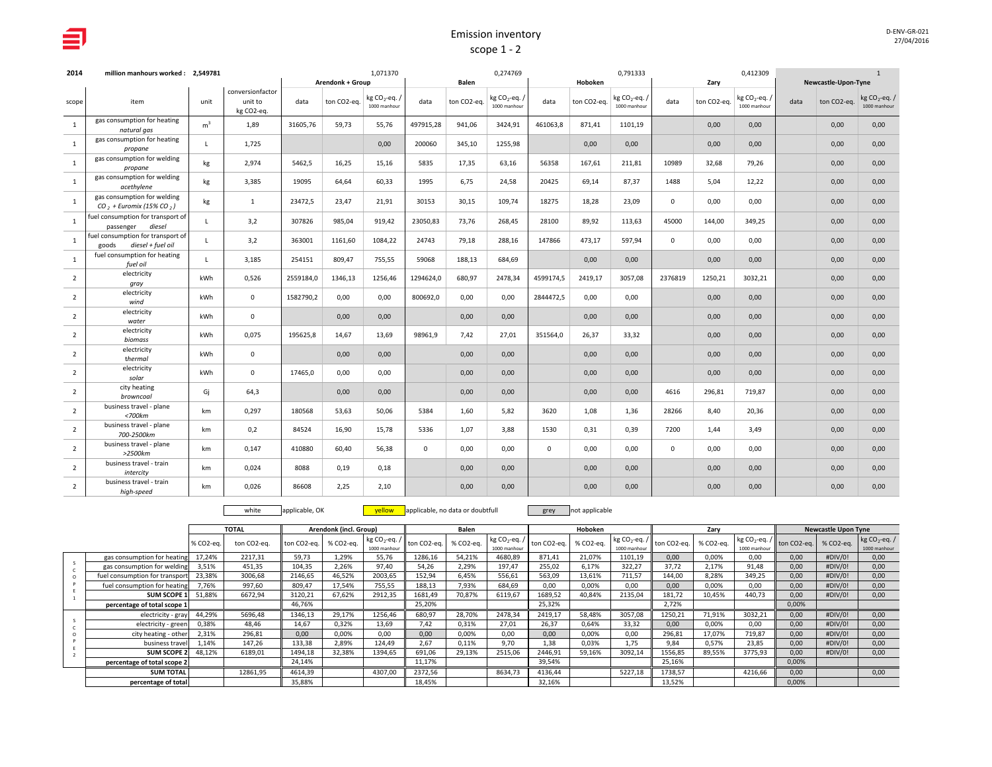| D-ENV-GR-021 |
|--------------|
| 27/04/2016   |

| 2014           | million manhours worked: 2.549781                               |                |                                           |           | Arendonk + Group | 1,071370                                |              | Balen       | 0,274769                                  |           | Hoboken     | 0,791333                                |             | Zary        | 0,412309                                |      | Newcastle-Upon-Tyne | $\mathbf{1}$                     |
|----------------|-----------------------------------------------------------------|----------------|-------------------------------------------|-----------|------------------|-----------------------------------------|--------------|-------------|-------------------------------------------|-----------|-------------|-----------------------------------------|-------------|-------------|-----------------------------------------|------|---------------------|----------------------------------|
| scope          | item                                                            | unit           | conversionfactor<br>unit to<br>kg CO2-eq. | data      | ton CO2-eq.      | kg CO <sub>2</sub> -eq.<br>1000 manhour | data         | ton CO2-eq. | kg CO <sub>2</sub> -eq. /<br>1000 manhour | data      | ton CO2-eq. | kg CO <sub>2</sub> -eq.<br>1000 manhour | data        | ton CO2-eq. | kg CO <sub>2</sub> -eq.<br>1000 manhour | data | ton CO2-eq.         | kg $CO_2$ -eq. /<br>1000 manhour |
| $\mathbf{1}$   | gas consumption for heating<br>natural gas                      | m <sup>3</sup> | 1,89                                      | 31605,76  | 59,73            | 55,76                                   | 497915,28    | 941,06      | 3424,91                                   | 461063,8  | 871,41      | 1101,19                                 |             | 0,00        | 0,00                                    |      | 0,00                | 0,00                             |
| <sup>1</sup>   | gas consumption for heating<br>propane                          | $\mathbf{I}$   | 1,725                                     |           |                  | 0,00                                    | 200060       | 345,10      | 1255,98                                   |           | 0,00        | 0,00                                    |             | 0,00        | 0,00                                    |      | 0,00                | 0,00                             |
| 1              | gas consumption for welding<br>propane                          | kg             | 2,974                                     | 5462,5    | 16,25            | 15,16                                   | 5835         | 17,35       | 63,16                                     | 56358     | 167,61      | 211,81                                  | 10989       | 32,68       | 79,26                                   |      | 0,00                | 0,00                             |
| <sup>1</sup>   | gas consumption for welding<br>acethylene                       | kg             | 3,385                                     | 19095     | 64,64            | 60,33                                   | 1995         | 6,75        | 24,58                                     | 20425     | 69,14       | 87,37                                   | 1488        | 5,04        | 12,22                                   |      | 0,00                | 0,00                             |
| 1              | gas consumption for welding<br>$CO2 + Euronix (15% CO2)$        | kg             | 1                                         | 23472,5   | 23,47            | 21,91                                   | 30153        | 30,15       | 109,74                                    | 18275     | 18,28       | 23,09                                   | $\mathbf 0$ | 0,00        | 0,00                                    |      | 0,00                | 0,00                             |
| 1              | fuel consumption for transport of<br>passenger diesel           |                | 3,2                                       | 307826    | 985,04           | 919,42                                  | 23050,83     | 73,76       | 268,45                                    | 28100     | 89,92       | 113,63                                  | 45000       | 144,00      | 349,25                                  |      | 0.00                | 0,00                             |
| $\overline{1}$ | fuel consumption for transport of<br>diesel + fuel oil<br>goods | L.             | 3,2                                       | 363001    | 1161,60          | 1084,22                                 | 24743        | 79,18       | 288,16                                    | 147866    | 473.17      | 597.94                                  | $\mathbf 0$ | 0,00        | 0,00                                    |      | 0.00                | 0,00                             |
| $\overline{1}$ | fuel consumption for heating<br>fuel oil                        | $\mathbf{I}$   | 3,185                                     | 254151    | 809.47           | 755,55                                  | 59068        | 188,13      | 684,69                                    |           | 0,00        | 0,00                                    |             | 0,00        | 0,00                                    |      | 0,00                | 0,00                             |
| $\overline{2}$ | electricity<br>gray                                             | kWh            | 0,526                                     | 2559184,0 | 1346.13          | 1256,46                                 | 1294624,0    | 680,97      | 2478,34                                   | 4599174.5 | 2419,17     | 3057,08                                 | 2376819     | 1250,21     | 3032,21                                 |      | 0,00                | 0,00                             |
| $\overline{2}$ | electricity<br>wind                                             | kWh            | $\mathbf{0}$                              | 1582790,2 | 0,00             | 0,00                                    | 800692,0     | 0,00        | 0,00                                      | 2844472.5 | 0.00        | 0,00                                    |             | 0,00        | 0,00                                    |      | 0,00                | 0,00                             |
| $\overline{2}$ | electricity<br>water                                            | kWh            | 0                                         |           | 0,00             | 0,00                                    |              | 0,00        | 0,00                                      |           | 0,00        | 0,00                                    |             | 0,00        | 0,00                                    |      | 0,00                | 0,00                             |
| $\overline{2}$ | electricity<br>biomass                                          | kWh            | 0,075                                     | 195625,8  | 14,67            | 13,69                                   | 98961,9      | 7,42        | 27,01                                     | 351564,0  | 26,37       | 33,32                                   |             | 0,00        | 0,00                                    |      | 0,00                | 0,00                             |
| $\overline{2}$ | electricity<br>thermal                                          | kWh            | $\mathbf 0$                               |           | 0,00             | 0,00                                    |              | 0,00        | 0,00                                      |           | 0,00        | 0,00                                    |             | 0,00        | 0,00                                    |      | 0,00                | 0,00                             |
| 2              | electricity<br>solar                                            | kWh            | $\mathbf{0}$                              | 17465.0   | 0.00             | 0,00                                    |              | 0,00        | 0,00                                      |           | 0.00        | 0,00                                    |             | 0,00        | 0.00                                    |      | 0.00                | 0,00                             |
| $\overline{2}$ | city heating<br>browncoal                                       | Gi             | 64,3                                      |           | 0.00             | 0,00                                    |              | 0,00        | 0,00                                      |           | 0.00        | 0,00                                    | 4616        | 296,81      | 719,87                                  |      | 0.00                | 0,00                             |
| $\overline{2}$ | business travel - plane<br>$<$ 700 $km$                         | km             | 0.297                                     | 180568    | 53.63            | 50,06                                   | 5384         | 1,60        | 5.82                                      | 3620      | 1.08        | 1,36                                    | 28266       | 8,40        | 20,36                                   |      | 0.00                | 0,00                             |
| 2              | business travel - plane<br>700-2500km                           | km             | 0,2                                       | 84524     | 16,90            | 15,78                                   | 5336         | 1,07        | 3,88                                      | 1530      | 0,31        | 0,39                                    | 7200        | 1,44        | 3,49                                    |      | 0,00                | 0,00                             |
| $\overline{2}$ | business travel - plane<br>$>2500$ km                           | km             | 0,147                                     | 410880    | 60,40            | 56,38                                   | $\mathbf{0}$ | 0,00        | 0,00                                      | $\Omega$  | 0,00        | 0,00                                    | $\mathbf 0$ | 0,00        | 0,00                                    |      | 0,00                | 0,00                             |
| $\overline{2}$ | business travel - train<br>intercity                            | km             | 0,024                                     | 8088      | 0,19             | 0,18                                    |              | 0,00        | 0,00                                      |           | 0,00        | 0,00                                    |             | 0,00        | 0,00                                    |      | 0,00                | 0,00                             |
| $\overline{2}$ | business travel - train<br>high-speed                           | km             | 0,026                                     | 86608     | 2,25             | 2,10                                    |              | 0,00        | 0,00                                      |           | 0,00        | 0,00                                    |             | 0,00        | 0,00                                    |      | 0,00                | 0,00                             |

white applicable, OK **yellow** applicable, no data or doubtfull grey not applicable

|                               |           | <b>TOTAL</b> |             | Arendonk (incl. Group) |                                  |                          | Balen     |                                  |             | Hoboken   |                                  |             | Zary      |              |                                                          | <b>Newcastle Upon Tyne</b> |                                  |
|-------------------------------|-----------|--------------|-------------|------------------------|----------------------------------|--------------------------|-----------|----------------------------------|-------------|-----------|----------------------------------|-------------|-----------|--------------|----------------------------------------------------------|----------------------------|----------------------------------|
|                               | % CO2-eq. | ton CO2-ea.  | ton CO2-eq. | % CO2-ea.              | kg $CO_2$ -eq. /<br>1000 manhour | ton CO <sub>2-ea</sub> . | % CO2-ea. | kg $CO_2$ -eq. /<br>1000 manhour | ton CO2-eq. | % CO2-eq. | kg $CO_2$ -eq. /<br>1000 manhour | ton CO2-ea. | % CO2-eq. | 1000 manhour | $\left  \text{ kg CO}_2 \text{-eq.} \right $ ton CO2-eq. | % CO2-eq.                  | kg $CO_2$ -eq. /<br>1000 manhour |
| gas consumption for heating   | 17,24%    | 2217.31      | 59.73       | 1.29%                  | 55,76                            | 1286,16                  | 54,21%    | 4680,89                          | 871,41      | 21.07%    | 1101,19                          | 0.00        | 0.00%     | 0.00         | 0.00                                                     | #DIV/0!                    | 0,00                             |
| gas consumption for welding   | 3,51%     | 451,35       | 104.35      | 2.26%                  | 97,40                            | 54,26                    | 2,29%     | 197,47                           | 255,02      | 6.17%     | 322.27                           | 37.72       | 2,17%     | 91,48        | 0.00                                                     | #DIV/0!                    | 0,00                             |
| fuel consumption for transpor | 23,38%    | 3006,68      | 2146,65     | 46,52%                 | 2003,65                          | 152,94                   | 6,45%     | 556,61                           | 563,09      | 13,61%    | 711,57                           | 144,00      | 8,28%     | 349,25       | 0,00                                                     | #DIV/0!                    | 0,00                             |
| fuel consumption for heating  | 7.76%     | 997,60       | 809.47      | 17.54%                 | 755,55                           | 188,13                   | 7,93%     | 684,69                           | 0.00        | 0.00%     | 0.00                             | 0,00        | 0.00%     | 0.00         | 0,00                                                     | #DIV/0!                    | 0,00                             |
| <b>SUM SCOPE 1</b>            | 51,88%    | 6672,94      | 3120,21     | 67,62%                 | 2912,35                          | 1681,49                  | 70,87%    | 6119,67                          | 1689,52     | 40,84%    | 2135,04                          | 181,72      | 10,45%    | 440,73       | 0,00                                                     | #DIV/0!                    | 0,00                             |
| percentage of total scope 1   |           |              | 46,76%      |                        |                                  | 25,20%                   |           |                                  | 25,32%      |           |                                  | 2,72%       |           |              | 0,00%                                                    |                            |                                  |
| electricity - gray            | 44.29%    | 5696,48      | 1346,13     | 29,17%                 | 1256.46                          | 680,97                   | 28,70%    | 2478,34                          | 2419,17     | 58,48%    | 3057.08                          | 1250,21     | 71,91%    | 3032,21      | 0.00                                                     | #DIV/0!                    | 0,00                             |
| electricity - green           | 0,38%     | 48,46        | 14.67       | 0,32%                  | 13,69                            | 7,42                     | 0,31%     | 27.01                            | 26.37       | 0.64%     | 33,32                            | 0,00        | 0,00%     | 0,00         | 0,00                                                     | #DIV/0!                    | 0,00                             |
| city heating - other          | 2,31%     | 296,81       | 0.00        | 0,00%                  | 0,00                             | 0,00                     | 0,00%     | 0,00                             | 0.00        | 0.00%     | 0.00                             | 296,81      | 17,07%    | 719,87       | 0,00                                                     | #DIV/0!                    | 0,00                             |
| business travel               | 1,14%     | 147,26       | 133,38      | 2.89%                  | 124.49                           | 2,67                     | 0,11%     | 9.70                             | 1.38        | 0.03%     | 1.75                             | 9.84        | 0,57%     | 23,85        | 0,00                                                     | #DIV/0!                    | 0.00                             |
| <b>SUM SCOPE 2</b>            | 48,12%    | 6189,01      | 1494,18     | 32,38%                 | 1394,65                          | 691,06                   | 29,13%    | 2515,06                          | 2446,91     | 59,16%    | 3092,14                          | 1556,85     | 89,55%    | 3775,93      | 0,00                                                     | #DIV/0!                    | 0,00                             |
| percentage of total scope 2   |           |              | 24,14%      |                        |                                  | 11,17%                   |           |                                  | 39,54%      |           |                                  | 25,16%      |           |              | 0,00%                                                    |                            |                                  |
| <b>SUM TOTAL</b>              |           | 12861,95     | 4614,39     |                        | 4307,00                          | 2372,56                  |           | 8634,73                          | 4136,44     |           | 5227,18                          | 1738,57     |           | 4216,66      | 0,00                                                     |                            | 0,00                             |
| percentage of total           |           |              | 35,88%      |                        |                                  | 18,45%                   |           |                                  | 32,16%      |           |                                  | 13,52%      |           |              | 0,00%                                                    |                            |                                  |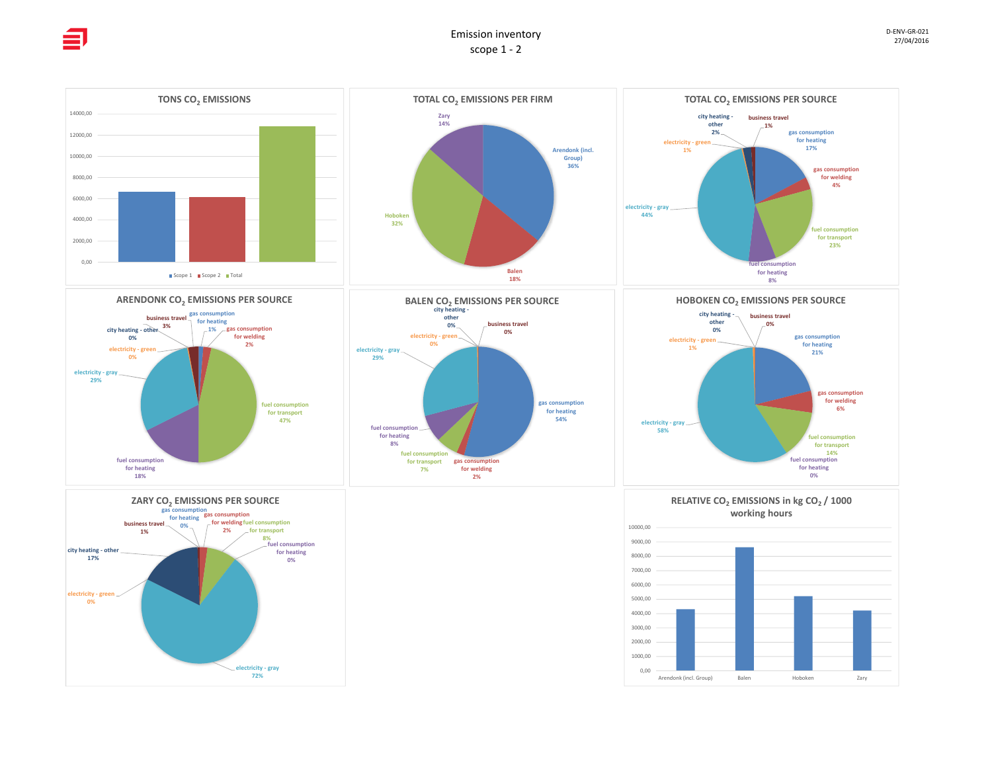0,00 2000,00 4000,00 6000,00 8000,00 10000,00 12000,00 14000,00



**gas consumption for welding 6%**

**fuel consumption for transport 14% fuel consumption for heating**



**gas consumption for transport for welding 2%**

fuel consumption **7%**

**fuel consumption for heating 8%**

**gas consumption for heating 54%**

**electricity - gray 58%**





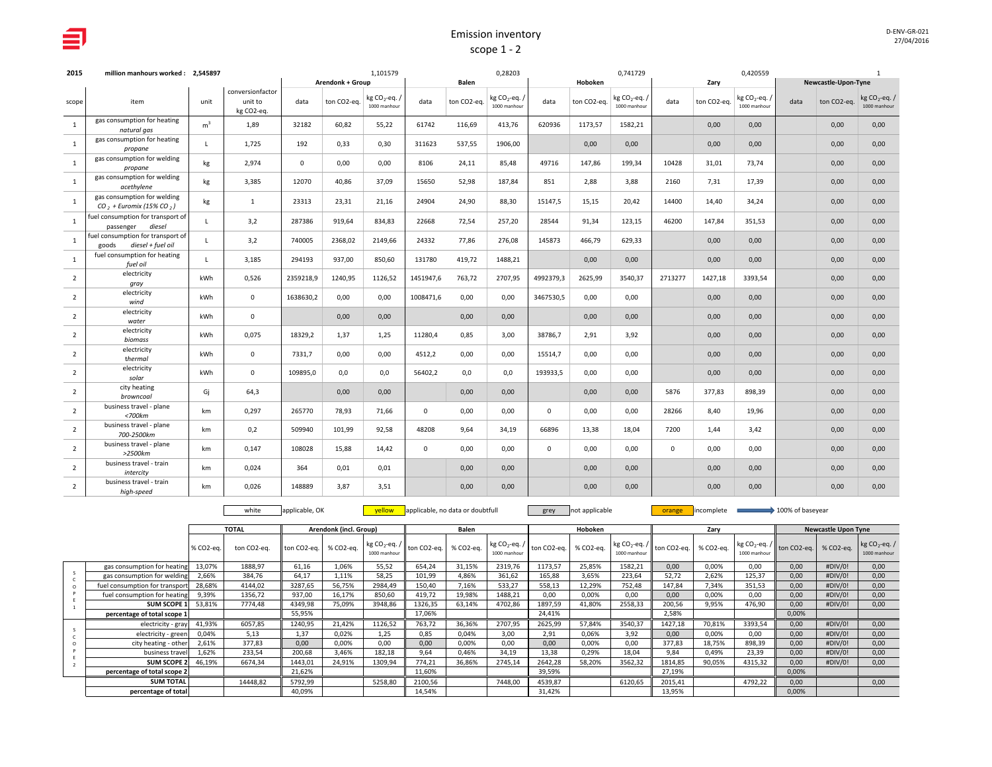| 2015           | million manhours worked: 2,545897                               |                |                                           |              | 1,101579<br>Arendonk + Group |                                           |             |             | 0,28203                                 |             |             | 0,741729                                  |             |             | 0,420559                                  |      |                     | $\mathbf{1}$                     |
|----------------|-----------------------------------------------------------------|----------------|-------------------------------------------|--------------|------------------------------|-------------------------------------------|-------------|-------------|-----------------------------------------|-------------|-------------|-------------------------------------------|-------------|-------------|-------------------------------------------|------|---------------------|----------------------------------|
|                |                                                                 |                |                                           |              |                              |                                           |             | Balen       |                                         |             | Hoboken     |                                           |             | Zary        |                                           |      | Newcastle-Upon-Tyne |                                  |
| scope          | item                                                            | unit           | conversionfactor<br>unit to<br>kg CO2-eq. | data         | ton CO2-eq.                  | kg CO <sub>2</sub> -eq. /<br>1000 manhour | data        | ton CO2-eq. | kg CO <sub>2</sub> -eq.<br>1000 manhour | data        | ton CO2-eq. | kg CO <sub>2</sub> -eq. /<br>1000 manhour | data        | ton CO2-eq. | kg CO <sub>2</sub> -eq. /<br>1000 manhour | data | ton CO2-eq.         | kg $CO_2$ -eq. /<br>1000 manhour |
| 1              | gas consumption for heating<br>natural gas                      | m <sup>3</sup> | 1,89                                      | 32182        | 60,82                        | 55,22                                     | 61742       | 116,69      | 413,76                                  | 620936      | 1173,57     | 1582,21                                   |             | 0,00        | 0,00                                      |      | 0,00                | 0,00                             |
| 1              | gas consumption for heating<br>propane                          | τ.             | 1,725                                     | 192          | 0,33                         | 0,30                                      | 311623      | 537,55      | 1906.00                                 |             | 0,00        | 0,00                                      |             | 0,00        | 0,00                                      |      | 0,00                | 0,00                             |
| 1              | gas consumption for welding<br>propane                          | kg             | 2,974                                     | $\mathbf{0}$ | 0,00                         | 0,00                                      | 8106        | 24,11       | 85,48                                   | 49716       | 147,86      | 199,34                                    | 10428       | 31,01       | 73,74                                     |      | 0,00                | 0,00                             |
| 1              | gas consumption for welding<br>acethylene                       | kg             | 3,385                                     | 12070        | 40,86                        | 37,09                                     | 15650       | 52,98       | 187,84                                  | 851         | 2,88        | 3,88                                      | 2160        | 7,31        | 17,39                                     |      | 0,00                | 0,00                             |
| 1              | gas consumption for welding<br>$CO2 + Euronix (15% CO2)$        | kg             | $\mathbf{1}$                              | 23313        | 23,31                        | 21,16                                     | 24904       | 24,90       | 88,30                                   | 15147,5     | 15,15       | 20,42                                     | 14400       | 14,40       | 34,24                                     |      | 0,00                | 0,00                             |
| 1              | fuel consumption for transport of<br>diesel<br>passenger        | $\mathbf{L}$   | 3,2                                       | 287386       | 919.64                       | 834.83                                    | 22668       | 72,54       | 257.20                                  | 28544       | 91.34       | 123.15                                    | 46200       | 147,84      | 351,53                                    |      | 0,00                | 0,00                             |
| <sup>1</sup>   | fuel consumption for transport of<br>diesel + fuel oil<br>goods | $\mathbf{L}$   | 3,2                                       | 740005       | 2368,02                      | 2149,66                                   | 24332       | 77,86       | 276,08                                  | 145873      | 466,79      | 629,33                                    |             | 0,00        | 0,00                                      |      | 0,00                | 0,00                             |
| <sup>1</sup>   | fuel consumption for heating<br>fuel oil                        | L.             | 3,185                                     | 294193       | 937.00                       | 850,60                                    | 131780      | 419,72      | 1488.21                                 |             | 0.00        | 0.00                                      |             | 0,00        | 0,00                                      |      | 0,00                | 0,00                             |
| $\overline{2}$ | electricity<br>gray                                             | kWh            | 0,526                                     | 2359218,9    | 1240,95                      | 1126,52                                   | 1451947,6   | 763,72      | 2707,95                                 | 4992379,3   | 2625,99     | 3540,37                                   | 2713277     | 1427,18     | 3393,54                                   |      | 0,00                | 0,00                             |
| $\overline{2}$ | electricity<br>wind                                             | kWh            | $\mathbf{0}$                              | 1638630,2    | 0,00                         | 0,00                                      | 1008471,6   | 0,00        | 0,00                                    | 3467530,5   | 0,00        | 0,00                                      |             | 0,00        | 0,00                                      |      | 0,00                | 0,00                             |
| $\overline{2}$ | electricity<br>water                                            | kWh            | $\mathbf 0$                               |              | 0,00                         | 0,00                                      |             | 0,00        | 0,00                                    |             | 0,00        | 0,00                                      |             | 0,00        | 0,00                                      |      | 0,00                | 0,00                             |
| $\overline{2}$ | electricity<br>biomass                                          | kWh            | 0,075                                     | 18329,2      | 1,37                         | 1,25                                      | 11280,4     | 0,85        | 3,00                                    | 38786,7     | 2,91        | 3,92                                      |             | 0,00        | 0,00                                      |      | 0,00                | 0,00                             |
| $\overline{2}$ | electricity<br>thermal                                          | kWh            | $\mathbf{0}$                              | 7331,7       | 0,00                         | 0,00                                      | 4512,2      | 0,00        | 0,00                                    | 15514,7     | 0.00        | 0.00                                      |             | 0,00        | 0,00                                      |      | 0,00                | 0,00                             |
| 2              | electricity<br>solar                                            | kWh            | $\mathbf{0}$                              | 109895,0     | 0,0                          | 0,0                                       | 56402,2     | 0,0         | 0,0                                     | 193933,5    | 0,00        | 0,00                                      |             | 0,00        | 0,00                                      |      | 0,00                | 0,00                             |
| 2              | city heating<br>browncoal                                       | Gj             | 64,3                                      |              | 0,00                         | 0,00                                      |             | 0,00        | 0,00                                    |             | 0,00        | 0,00                                      | 5876        | 377,83      | 898,39                                    |      | 0,00                | 0,00                             |
| 2              | business travel - plane<br>$<$ 700 $km$                         | km             | 0,297                                     | 265770       | 78,93                        | 71,66                                     | 0           | 0,00        | 0,00                                    | $\Omega$    | 0,00        | 0,00                                      | 28266       | 8,40        | 19,96                                     |      | 0,00                | 0,00                             |
| 2              | business travel - plane<br>700-2500km                           | km             | 0,2                                       | 509940       | 101,99                       | 92,58                                     | 48208       | 9,64        | 34,19                                   | 66896       | 13,38       | 18,04                                     | 7200        | 1,44        | 3,42                                      |      | 0,00                | 0,00                             |
| 2              | business travel - plane<br>$>2500$ km                           | km             | 0.147                                     | 108028       | 15,88                        | 14,42                                     | $\mathbf 0$ | 0,00        | 0,00                                    | $\mathbf 0$ | 0,00        | 0,00                                      | $\mathbf 0$ | 0,00        | 0,00                                      |      | 0,00                | 0,00                             |
| 2              | business travel - train<br>intercity                            | km             | 0,024                                     | 364          | 0.01                         | 0,01                                      |             | 0,00        | 0,00                                    |             | 0,00        | 0,00                                      |             | 0,00        | 0,00                                      |      | 0,00                | 0,00                             |
| $\overline{2}$ | business travel - train<br>high-speed                           | km             | 0.026                                     | 148889       | 3.87                         | 3,51                                      |             | 0,00        | 0.00                                    |             | 0.00        | 0.00                                      |             | 0,00        | 0.00                                      |      | 0.00                | 0.00                             |

white applicable, OK **yellow** applicable, no data or doubtfull grey not applicable **orange** incomplete 100% of baseyear

|                                |           | <b>TOTAL</b> |                       | Arendonk (incl. Group) |              |                                                                                                 | Balen  |                                                                                                             |         | Hoboken |                                                                            |         | Zary      |              |                                                            | <b>Newcastle Upon Tyne</b> |                                  |
|--------------------------------|-----------|--------------|-----------------------|------------------------|--------------|-------------------------------------------------------------------------------------------------|--------|-------------------------------------------------------------------------------------------------------------|---------|---------|----------------------------------------------------------------------------|---------|-----------|--------------|------------------------------------------------------------|----------------------------|----------------------------------|
|                                | % CO2-eq. | ton CO2-ea.  | ton CO2-eq. % CO2-eq. |                        | 1000 manhour | $\left\  \text{kg CO}_2\text{-eq.} / \right\ $ ton CO2-eq. $\left\  \text{ % CO2-eq.} \right\ $ |        | $\left\lfloor \frac{\text{kg CO}_2\text{-eq.}}{\text{ton CO2-eq.}} \right\rfloor$ % CO2-eq.<br>1000 manhour |         |         | $\left  \text{ kg CO}_2 \text{-eq.} / \right $ ton CO2-eq.<br>1000 manhour |         | % CO2-eg. | 1000 manhour | $\left  \text{ kg CO}_2 \text{-eq.} / \right $ ton CO2-eq. | % CO2-eq.                  | kg $CO_2$ -eq. /<br>1000 manhour |
| gas consumption for heating    | 13,07%    | 1888,97      | 61,16                 | 1,06%                  | 55,52        | 654,24                                                                                          | 31,15% | 2319,76                                                                                                     | 1173,57 | 25,85%  | 1582,21                                                                    | 0,00    | 0,00%     | 0,00         | 0,00                                                       | #DIV/0!                    | 0,00                             |
| gas consumption for welding    | 2,66%     | 384,76       | 64.17                 | 1,11%                  | 58,25        | 101,99                                                                                          | 4,86%  | 361,62                                                                                                      | 165,88  | 3,65%   | 223,64                                                                     | 52,72   | 2,62%     | 125,37       | 0,00                                                       | #DIV/0!                    | 0,00                             |
| fuel consumption for transport | 28,68%    | 4144,02      | 3287,65               | 56,75%                 | 2984,49      | 150,40                                                                                          | 7,16%  | 533,27                                                                                                      | 558,13  | 12,29%  | 752,48                                                                     | 147,84  | 7,34%     | 351,53       | 0,00                                                       | #DIV/0!                    | 0,00                             |
| fuel consumption for heating   | 9,39%     | 1356,72      | 937,00                | 16,17%                 | 850,60       | 419,72                                                                                          | 19,98% | 1488,21                                                                                                     | 0.00    | 0,00%   | 0,00                                                                       | 0,00    | 0,00%     | 0,00         | 0,00                                                       | #DIV/0!                    | 0,00                             |
| <b>SUM SCOPE 1</b>             | 53,81%    | 7774,48      | 4349,98               | 75,09%                 | 3948,86      | 1326,35                                                                                         | 63,14% | 4702,86                                                                                                     | 1897,59 | 41,80%  | 2558,33                                                                    | 200,56  | 9,95%     | 476,90       | 0,00                                                       | #DIV/0!                    | 0,00                             |
| percentage of total scope 1    |           |              | 55,95%                |                        |              | 17.06%                                                                                          |        |                                                                                                             | 24,41%  |         |                                                                            | 2,58%   |           |              | 0,00%                                                      |                            |                                  |
| electricity - gray             | 41,93%    | 6057,85      | 1240,95               | 21,42%                 | 1126,52      | 763,72                                                                                          | 36,36% | 2707,95                                                                                                     | 2625,99 | 57,84%  | 3540,37                                                                    | 1427,18 | 70,81%    | 3393,54      | 0,00                                                       | #DIV/0!                    | 0,00                             |
| electricity - green            | 0,04%     | 5,13         | 1.37                  | 0,02%                  | 1.25         | 0,85                                                                                            | 0,04%  | 3.00                                                                                                        | 2.91    | 0,06%   | 3.92                                                                       | 0,00    | 0,00%     | 0,00         | 0.00                                                       | #DIV/0!                    | 0,00                             |
| city heating - other           | 2,61%     | 377,83       | 0.00                  | 0,00%                  | 0,00         | 0,00                                                                                            | 0,00%  | 0,00                                                                                                        | 0.00    | 0,00%   | 0,00                                                                       | 377,83  | 18,75%    | 898,39       | 0,00                                                       | #DIV/0!                    | 0,00                             |
| business travel                | 1,62%     | 233,54       | 200,68                | 3,46%                  | 182,18       | 9.64                                                                                            | 0,46%  | 34,19                                                                                                       | 13.38   | 0,29%   | 18.04                                                                      | 9.84    | 0,49%     | 23,39        | 0.00                                                       | #DIV/0!                    | 0.00                             |
| <b>SUM SCOPE 2</b>             | 46.19%    | 6674,34      | 1443,01               | 24,91%                 | 1309,94      | 774,21                                                                                          | 36,86% | 2745,14                                                                                                     | 2642,28 | 58,20%  | 3562,32                                                                    | 1814,85 | 90,05%    | 4315,32      | 0.00                                                       | #DIV/0!                    | 0,00                             |
| percentage of total scope 2    |           |              | 21,62%                |                        |              | 11,60%                                                                                          |        |                                                                                                             | 39,59%  |         |                                                                            | 27,19%  |           |              | 0,00%                                                      |                            |                                  |
| <b>SUM TOTAL</b>               |           | 14448,82     | 5792,99               |                        | 5258,80      | 2100,56                                                                                         |        | 7448,00                                                                                                     | 4539,87 |         | 6120,65                                                                    | 2015,41 |           | 4792,22      | 0,00                                                       |                            | 0,00                             |
| percentage of total            |           |              | 40,09%                |                        |              | 14,54%                                                                                          |        |                                                                                                             | 31,42%  |         |                                                                            | 13,95%  |           |              | 0,00%                                                      |                            |                                  |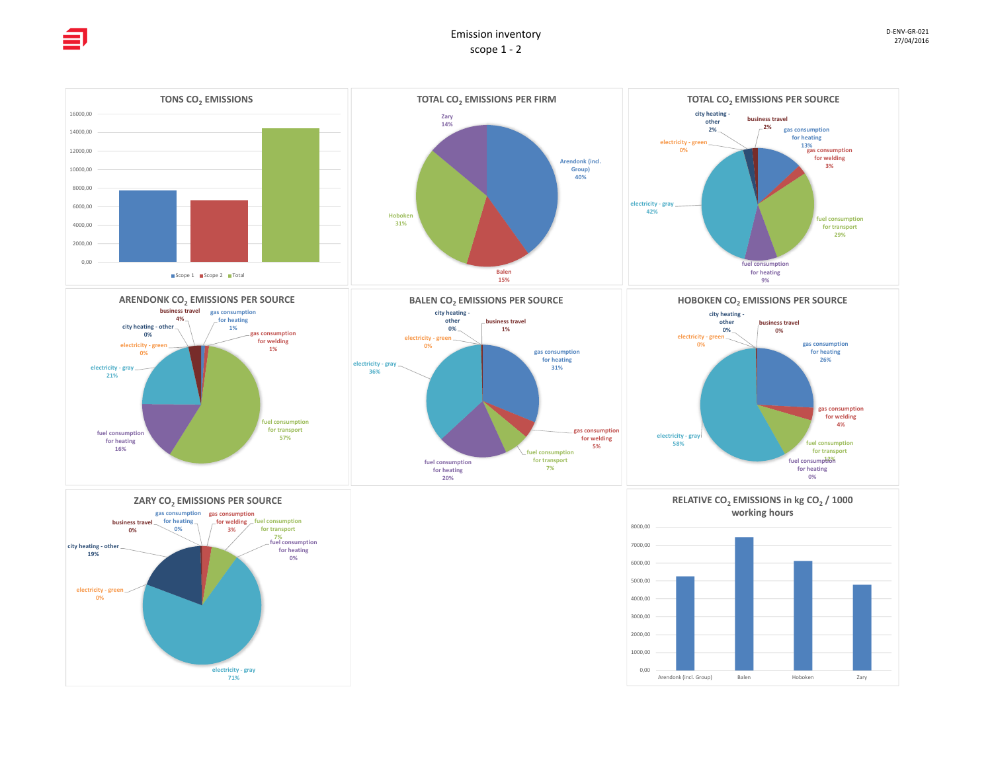**19%**









**electricity ‐ gray 71%**





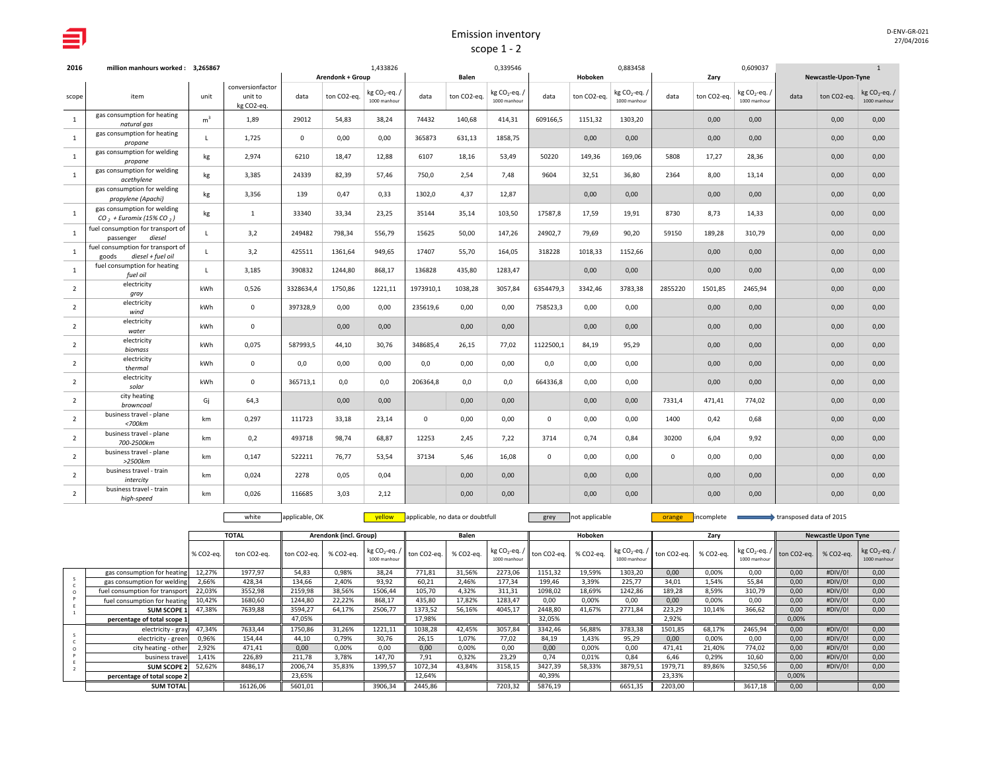| D-ENV-GR-021 |  |
|--------------|--|
| 27/04/2016   |  |

| 2016           | million manhours worked: 3,265867                               |                |                                           |              |                         | 1,433826                                 |             |             | 0,339546                                |             |             | 0,883458                                |             |             | 0,609037                                |      |                     | $\mathbf{1}$                     |
|----------------|-----------------------------------------------------------------|----------------|-------------------------------------------|--------------|-------------------------|------------------------------------------|-------------|-------------|-----------------------------------------|-------------|-------------|-----------------------------------------|-------------|-------------|-----------------------------------------|------|---------------------|----------------------------------|
|                |                                                                 |                |                                           |              | <b>Arendonk + Group</b> |                                          |             | Balen       |                                         |             | Hoboken     |                                         |             | Zary        |                                         |      | Newcastle-Upon-Tyne |                                  |
| scope          | item                                                            | unit           | conversionfactor<br>unit to<br>kg CO2-eq. | data         | ton CO2-eq.             | kg CO <sub>2</sub> -eq.,<br>1000 manhour | data        | ton CO2-eq. | kg CO <sub>2</sub> -eq.<br>1000 manhour | data        | ton CO2-eq. | kg CO <sub>2</sub> -eq.<br>1000 manhour | data        | ton CO2-eq. | kg CO <sub>2</sub> -eq.<br>1000 manhour | data | ton CO2-eq.         | kg $CO_2$ -eq. /<br>1000 manhour |
| $\overline{1}$ | gas consumption for heating<br>natural gas                      | m <sup>3</sup> | 1,89                                      | 29012        | 54,83                   | 38,24                                    | 74432       | 140,68      | 414,31                                  | 609166,5    | 1151,32     | 1303,20                                 |             | 0,00        | 0,00                                    |      | 0,00                | 0,00                             |
| $\mathbf{1}$   | gas consumption for heating<br>propane                          | $\mathbf{I}$   | 1,725                                     | $\mathbf{0}$ | 0,00                    | 0,00                                     | 365873      | 631,13      | 1858,75                                 |             | 0,00        | 0,00                                    |             | 0,00        | 0,00                                    |      | 0,00                | 0,00                             |
| $\overline{1}$ | gas consumption for welding<br>propane                          | kg             | 2,974                                     | 6210         | 18,47                   | 12,88                                    | 6107        | 18,16       | 53,49                                   | 50220       | 149,36      | 169,06                                  | 5808        | 17,27       | 28,36                                   |      | 0,00                | 0,00                             |
| $\overline{1}$ | gas consumption for welding<br>acethylene                       | kg             | 3,385                                     | 24339        | 82,39                   | 57,46                                    | 750,0       | 2,54        | 7,48                                    | 9604        | 32,51       | 36,80                                   | 2364        | 8,00        | 13,14                                   |      | 0,00                | 0,00                             |
|                | gas consumption for welding<br>propylene (Apachi)               | kg             | 3,356                                     | 139          | 0,47                    | 0,33                                     | 1302,0      | 4,37        | 12,87                                   |             | 0,00        | 0,00                                    |             | 0,00        | 0,00                                    |      | 0,00                | 0,00                             |
| $\overline{1}$ | gas consumption for welding<br>$CO$ , + Euromix (15% CO,)       | kg             | $\mathbf{1}$                              | 33340        | 33,34                   | 23,25                                    | 35144       | 35,14       | 103,50                                  | 17587,8     | 17,59       | 19,91                                   | 8730        | 8,73        | 14,33                                   |      | 0,00                | 0,00                             |
| <sup>1</sup>   | fuel consumption for transport of<br>diesel<br>passenger        | $\mathsf{L}$   | 3,2                                       | 249482       | 798,34                  | 556,79                                   | 15625       | 50,00       | 147,26                                  | 24902,7     | 79,69       | 90,20                                   | 59150       | 189,28      | 310,79                                  |      | 0,00                | 0,00                             |
| $\mathbf{1}$   | fuel consumption for transport of<br>diesel + fuel oil<br>goods | $\mathbf{L}$   | 3,2                                       | 425511       | 1361,64                 | 949,65                                   | 17407       | 55,70       | 164,05                                  | 318228      | 1018,33     | 1152,66                                 |             | 0,00        | 0,00                                    |      | 0,00                | 0,00                             |
| $\overline{1}$ | fuel consumption for heating<br>fuel oil                        | $\mathbf{L}$   | 3,185                                     | 390832       | 1244,80                 | 868,17                                   | 136828      | 435,80      | 1283,47                                 |             | 0,00        | 0,00                                    |             | 0,00        | 0,00                                    |      | 0,00                | 0,00                             |
| $\overline{2}$ | electricity<br>gray                                             | kWh            | 0,526                                     | 3328634.4    | 1750.86                 | 1221,11                                  | 1973910,1   | 1038,28     | 3057,84                                 | 6354479,3   | 3342.46     | 3783.38                                 | 2855220     | 1501,85     | 2465,94                                 |      | 0,00                | 0,00                             |
| $\overline{2}$ | electricity<br>wind                                             | kWh            | $\mathbf{0}$                              | 397328,9     | 0,00                    | 0,00                                     | 235619,6    | 0,00        | 0,00                                    | 758523,3    | 0,00        | 0,00                                    |             | 0,00        | 0,00                                    |      | 0,00                | 0,00                             |
| $\overline{2}$ | electricity<br>water                                            | kWh            | $\mathbf 0$                               |              | 0,00                    | 0,00                                     |             | 0,00        | 0,00                                    |             | 0,00        | 0,00                                    |             | 0,00        | 0,00                                    |      | 0,00                | 0,00                             |
| $\overline{2}$ | electricity<br>biomass                                          | kWh            | 0,075                                     | 587993,5     | 44,10                   | 30,76                                    | 348685,4    | 26,15       | 77,02                                   | 1122500,1   | 84,19       | 95,29                                   |             | 0,00        | 0,00                                    |      | 0,00                | 0,00                             |
| $\overline{2}$ | electricity<br>thermal                                          | kWh            | $\mathbf 0$                               | 0,0          | 0,00                    | 0,00                                     | 0,0         | 0,00        | 0,00                                    | 0,0         | 0,00        | 0,00                                    |             | 0,00        | 0,00                                    |      | 0,00                | 0,00                             |
| $\overline{2}$ | electricity<br>solar                                            | kWh            | $\mathbf 0$                               | 365713,1     | 0,0                     | 0,0                                      | 206364,8    | 0,0         | 0,0                                     | 664336,8    | 0,00        | 0,00                                    |             | 0,00        | 0,00                                    |      | 0,00                | 0,00                             |
| $\overline{2}$ | city heating<br>browncoal                                       | Gi             | 64,3                                      |              | 0,00                    | 0,00                                     |             | 0,00        | 0,00                                    |             | 0,00        | 0,00                                    | 7331,4      | 471,41      | 774,02                                  |      | 0,00                | 0,00                             |
| $\overline{2}$ | business travel - plane<br>$<$ 700 $km$                         | km             | 0,297                                     | 111723       | 33,18                   | 23,14                                    | $\mathsf 0$ | 0,00        | 0,00                                    | $\mathbf 0$ | 0,00        | 0,00                                    | 1400        | 0,42        | 0,68                                    |      | 0,00                | 0,00                             |
| $\overline{2}$ | business travel - plane<br>700-2500km                           | km             | 0,2                                       | 493718       | 98,74                   | 68,87                                    | 12253       | 2,45        | 7,22                                    | 3714        | 0,74        | 0,84                                    | 30200       | 6,04        | 9,92                                    |      | 0,00                | 0,00                             |
| $\overline{2}$ | business travel - plane<br>>2500km                              | km             | 0.147                                     | 522211       | 76,77                   | 53.54                                    | 37134       | 5,46        | 16,08                                   | $\mathbf 0$ | 0.00        | 0,00                                    | $\mathbf 0$ | 0,00        | 0,00                                    |      | 0,00                | 0,00                             |
| $\overline{2}$ | business travel - train<br>intercity                            | km             | 0,024                                     | 2278         | 0,05                    | 0,04                                     |             | 0,00        | 0,00                                    |             | 0,00        | 0,00                                    |             | 0,00        | 0,00                                    |      | 0,00                | 0,00                             |
| $\overline{2}$ | business travel - train<br>high-speed                           | km             | 0.026                                     | 116685       | 3.03                    | 2,12                                     |             | 0,00        | 0,00                                    |             | 0.00        | 0.00                                    |             | 0,00        | 0.00                                    |      | 0.00                | 0.00                             |

white applicable, OK **yellow** applicable, no data or doubtfull grey not applicable **orange** incomplete transposed data of 2015

|                                |           | <b>TOTAL</b> |             | Arendonk (incl. Group) |              |                                                                  | Balen     |              |                                                      | Hoboken   |                                                                                                          |         | Zary      |              |                                                     | <b>Newcastle Upon Tyne</b> |                              |
|--------------------------------|-----------|--------------|-------------|------------------------|--------------|------------------------------------------------------------------|-----------|--------------|------------------------------------------------------|-----------|----------------------------------------------------------------------------------------------------------|---------|-----------|--------------|-----------------------------------------------------|----------------------------|------------------------------|
|                                | % CO2-eq. | ton CO2-eq.  | ton CO2-eq. | % CO2-ea.              | 1000 manhour | $\left  \log CO_2$ -eq. / $\right $ ton CO2-eq. $\left  \right $ | % CO2-ea. | 1000 manhour | $\left  \log CO_2 \text{-eq.} / \right $ ton CO2-eq. | % CO2-eq. | $\left  \right $ kg CO <sub>2</sub> -eq. / $\left  \right $ ton CO2-eq. $\left  \right $<br>1000 manhour |         | % СО2-еа. | 1000 manhour | $\frac{1}{2}$ kg CO <sub>2</sub> -eq. / ton CO2-eq. | % CO2-ea.                  | $kg CO2-eq.$<br>1000 manhour |
| gas consumption for heating    | 12,27%    | 1977,97      | 54,83       | 0,98%                  | 38,24        | 771,81                                                           | 31,56%    | 2273,06      | 1151,32                                              | 19,59%    | 1303,20                                                                                                  | 0,00    | 0,00%     | 0,00         | 0,00                                                | #DIV/0!                    | 0,00                         |
| gas consumption for welding    | 2,66%     | 428,34       | 134,66      | 2,40%                  | 93,92        | 60,21                                                            | 2,46%     | 177,34       | 199,46                                               | 3.39%     | 225,77                                                                                                   | 34,01   | 1,54%     | 55,84        | 0,00                                                | #DIV/0!                    | 0,00                         |
| fuel consumption for transport | 22,03%    | 3552,98      | 2159,98     | 38,56%                 | 1506,44      | 105,70                                                           | 4,32%     | 311,31       | 1098,02                                              | 18,69%    | 1242,86                                                                                                  | 189,28  | 8,59%     | 310,79       | 0.00                                                | #DIV/0!                    | 0,00                         |
| fuel consumption for heating   | 10.42%    | 1680,60      | 1244,80     | 22,22%                 | 868,17       | 435,80                                                           | 17,82%    | 1283,47      | 0.00                                                 | 0.00%     | 0,00                                                                                                     | 0,00    | 0,00%     | 0,00         | 0,00                                                | #DIV/0!                    | 0,00                         |
| SUM SCOPE 1                    | 47,38%    | 7639,88      | 3594,27     | 64,17%                 | 2506,77      | 1373,52                                                          | 56,16%    | 4045,17      | 2448,80                                              | 41,67%    | 2771,84                                                                                                  | 223,29  | 10,14%    | 366,62       | 0,00                                                | #DIV/0!                    | 0,00                         |
| percentage of total scope 1    |           |              | 47.05%      |                        |              | 17,98%                                                           |           |              | 32,05%                                               |           |                                                                                                          | 2,92%   |           |              | 0,00%                                               |                            |                              |
| electricity - gray 47,34%      |           | 7633.44      | 1750,86     | 31,26%                 | 1221,11      | 1038,28                                                          | 42,45%    | 3057,84      | 3342.46                                              | 56,88%    | 3783,38                                                                                                  | 1501,85 | 68,17%    | 2465,94      | 0.00                                                | #DIV/0!                    | 0,00                         |
| electricity - green            | 0,96%     | 154,44       | 44,10       | 0,79%                  | 30,76        | 26,15                                                            | 1,07%     | 77.02        | 84,19                                                | 1,43%     | 95,29                                                                                                    | 0,00    | 0,00%     | 0,00         | 0,00                                                | #DIV/0!                    | 0,00                         |
| city heating - other           | 2,92%     | 471,41       | 0,00        | 0,00%                  | 0,00         | 0,00                                                             | 0,00%     | 0.00         | 0,00                                                 | 0,00%     | 0,00                                                                                                     | 471,41  | 21,40%    | 774,02       | 0,00                                                | #DIV/0!                    | 0,00                         |
| business travel                | 1,41%     | 226,89       | 211,78      | 3,78%                  | 147,70       | 7,91                                                             | 0,32%     | 23,29        | 0.74                                                 | 0.01%     | 0.84                                                                                                     | 6,46    | 0,29%     | 10,60        | 0,00                                                | #DIV/0!                    | 0,00                         |
| <b>SUM SCOPE 2 52,62%</b>      |           | 8486,17      | 2006,74     | 35,83%                 | 1399,57      | 1072,34                                                          | 43,84%    | 3158,15      | 3427,39                                              | 58,33%    | 3879,51                                                                                                  | 1979,71 | 89,86%    | 3250,56      | 0.00                                                | #DIV/0!                    | 0,00                         |
| percentage of total scope 2    |           |              | 23,65%      |                        |              | 12,64%                                                           |           |              | 40,39%                                               |           |                                                                                                          | 23,33%  |           |              | 0,00%                                               |                            |                              |
| <b>SUM TOTAL</b>               |           | 16126.06     | 5601,01     |                        | 3906,34      | 2445,86                                                          |           | 7203,32      | 5876,19                                              |           | 6651,35                                                                                                  | 2203,00 |           | 3617,18      | 0.00                                                |                            | 0,00                         |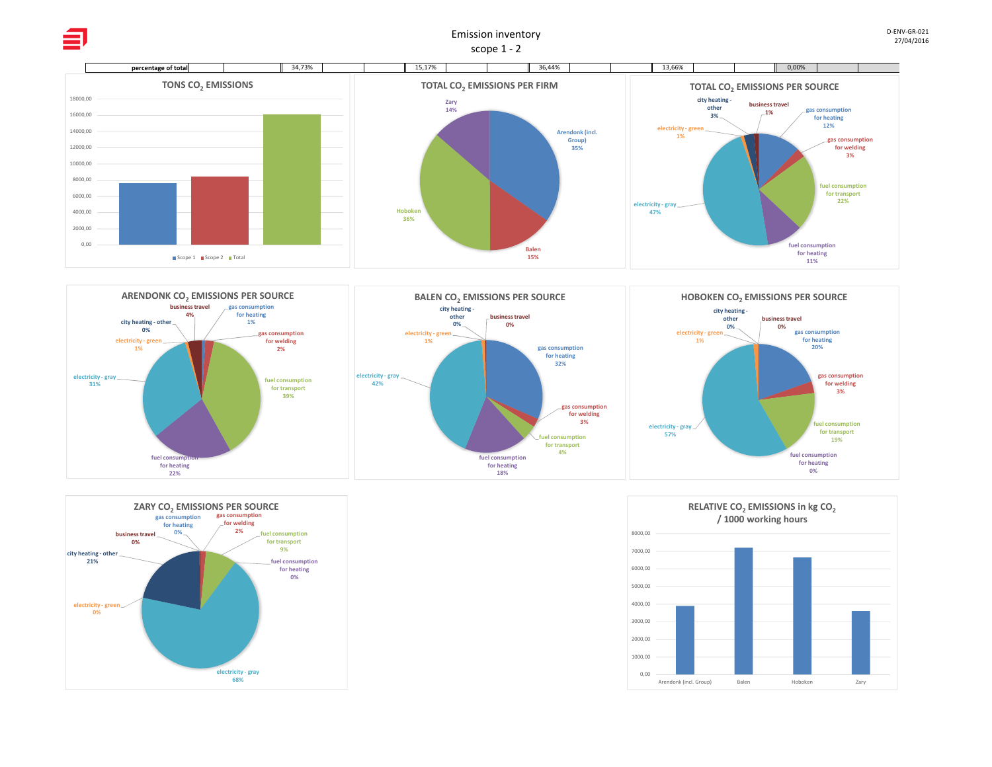



≘







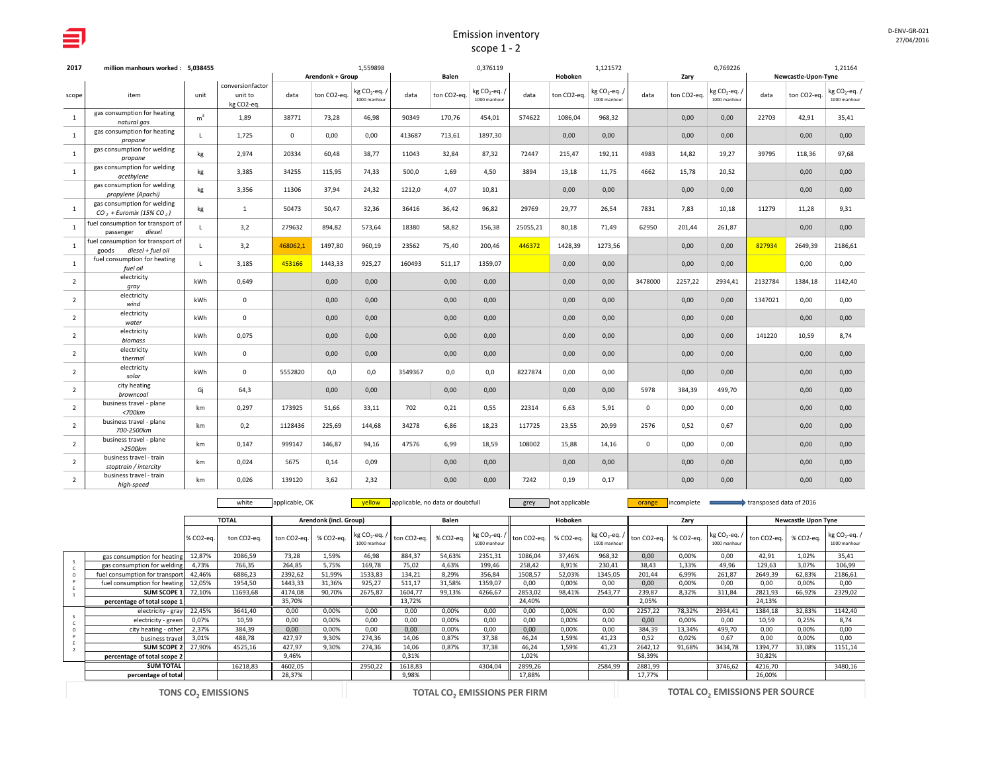| 2017           | million manhours worked: 5.038455                            |                |                                           |             |                                        | 1.559898                                |         |                      | 0.376119                                |          |                        | 1,121572                                |             |                     | 0,769226                                |         |                                    | 1.21164                          |
|----------------|--------------------------------------------------------------|----------------|-------------------------------------------|-------------|----------------------------------------|-----------------------------------------|---------|----------------------|-----------------------------------------|----------|------------------------|-----------------------------------------|-------------|---------------------|-----------------------------------------|---------|------------------------------------|----------------------------------|
| scope          | item                                                         | unit           | conversionfactor<br>unit to<br>kg CO2-eq. | data        | <b>Arendonk + Group</b><br>ton CO2-eq. | kg CO <sub>2</sub> -eq.<br>1000 manhour | data    | Balen<br>ton CO2-eq. | kg CO <sub>2</sub> -eq.<br>1000 manhour | data     | Hoboken<br>ton CO2-eq. | kg CO <sub>2</sub> -eq.<br>1000 manhour | data        | Zary<br>ton CO2-eq. | kg CO <sub>2</sub> -eq.<br>1000 manhour | data    | Newcastle-Upon-Tyne<br>ton CO2-eq. | kg $CO_2$ -eq. /<br>1000 manhour |
| <sup>1</sup>   | gas consumption for heating<br>natural gas                   | m <sup>3</sup> | 1,89                                      | 38771       | 73,28                                  | 46,98                                   | 90349   | 170,76               | 454,01                                  | 574622   | 1086,04                | 968,32                                  |             | 0,00                | 0,00                                    | 22703   | 42,91                              | 35,41                            |
| 1              | gas consumption for heating<br>propane                       | $\mathsf{L}$   | 1.725                                     | $\mathbf 0$ | 0,00                                   | 0.00                                    | 413687  | 713,61               | 1897,30                                 |          | 0.00                   | 0,00                                    |             | 0,00                | 0,00                                    |         | 0.00                               | 0,00                             |
| $\mathbf{1}$   | gas consumption for welding<br>propane                       | kg             | 2,974                                     | 20334       | 60,48                                  | 38,77                                   | 11043   | 32,84                | 87,32                                   | 72447    | 215,47                 | 192,11                                  | 4983        | 14,82               | 19,27                                   | 39795   | 118,36                             | 97,68                            |
| 1              | gas consumption for welding<br>acethylene                    | kg             | 3,385                                     | 34255       | 115,95                                 | 74,33                                   | 500,0   | 1,69                 | 4,50                                    | 3894     | 13,18                  | 11,75                                   | 4662        | 15,78               | 20,52                                   |         | 0,00                               | 0,00                             |
|                | gas consumption for welding<br>propylene (Apachi)            | kg             | 3,356                                     | 11306       | 37,94                                  | 24,32                                   | 1212,0  | 4,07                 | 10,81                                   |          | 0,00                   | 0,00                                    |             | 0,00                | 0,00                                    |         | 0,00                               | 0,00                             |
| <sup>1</sup>   | gas consumption for welding<br>$CO2 + Euronix (15% CO2)$     | kg             | $\mathbf{1}$                              | 50473       | 50,47                                  | 32,36                                   | 36416   | 36,42                | 96,82                                   | 29769    | 29,77                  | 26,54                                   | 7831        | 7,83                | 10,18                                   | 11279   | 11,28                              | 9,31                             |
| $\mathbf{1}$   | fuel consumption for transport of<br>passenger diesel        | L.             | 3,2                                       | 279632      | 894,82                                 | 573,64                                  | 18380   | 58,82                | 156,38                                  | 25055,21 | 80,18                  | 71,49                                   | 62950       | 201,44              | 261,87                                  |         | 0,00                               | 0,00                             |
| <sup>1</sup>   | fuel consumption for transport of<br>goods diesel + fuel oil | $\mathsf{L}$   | 3,2                                       | 468062,1    | 1497,80                                | 960,19                                  | 23562   | 75,40                | 200,46                                  | 446372   | 1428,39                | 1273,56                                 |             | 0,00                | 0,00                                    | 827934  | 2649,39                            | 2186,61                          |
| 1              | fuel consumption for heating<br>fuel oil                     | $\mathbf{L}$   | 3,185                                     | 453166      | 1443,33                                | 925,27                                  | 160493  | 511,17               | 1359,07                                 |          | 0,00                   | 0,00                                    |             | 0,00                | 0,00                                    |         | 0,00                               | 0,00                             |
| $\overline{2}$ | electricity<br>gray                                          | <b>kWh</b>     | 0,649                                     |             | 0,00                                   | 0,00                                    |         | 0,00                 | 0,00                                    |          | 0,00                   | 0,00                                    | 3478000     | 2257,22             | 2934,41                                 | 2132784 | 1384,18                            | 1142,40                          |
| $\overline{2}$ | electricity<br>wind                                          | kWh            | $\mathbf 0$                               |             | 0,00                                   | 0.00                                    |         | 0,00                 | 0,00                                    |          | 0,00                   | 0,00                                    |             | 0,00                | 0,00                                    | 1347021 | 0.00                               | 0,00                             |
| $\overline{2}$ | electricity<br>water                                         | <b>kWh</b>     | $\mathbf 0$                               |             | 0,00                                   | 0,00                                    |         | 0,00                 | 0,00                                    |          | 0,00                   | 0,00                                    |             | 0,00                | 0,00                                    |         | 0,00                               | 0,00                             |
| $\overline{2}$ | electricity<br>biomass                                       | kWh            | 0,075                                     |             | 0,00                                   | 0,00                                    |         | 0,00                 | 0,00                                    |          | 0,00                   | 0,00                                    |             | 0,00                | 0,00                                    | 141220  | 10,59                              | 8,74                             |
| $\overline{2}$ | electricity<br>thermal                                       | kWh            | $\mathsf 0$                               |             | 0,00                                   | 0,00                                    |         | 0,00                 | 0,00                                    |          | 0,00                   | 0,00                                    |             | 0,00                | 0,00                                    |         | 0,00                               | 0,00                             |
| $\overline{2}$ | electricity<br>solar                                         | kWh            | $\mathbf{0}$                              | 5552820     | 0,0                                    | 0,0                                     | 3549367 | 0,0                  | 0,0                                     | 8227874  | 0,00                   | 0,00                                    |             | 0,00                | 0,00                                    |         | 0,00                               | 0,00                             |
| $\overline{2}$ | city heating<br>browncoal                                    | Gi             | 64,3                                      |             | 0,00                                   | 0,00                                    |         | 0,00                 | 0,00                                    |          | 0,00                   | 0,00                                    | 5978        | 384,39              | 499,70                                  |         | 0,00                               | 0,00                             |
| $\overline{2}$ | business travel - plane<br>$<$ 700 $km$                      | km             | 0,297                                     | 173925      | 51,66                                  | 33,11                                   | 702     | 0,21                 | 0,55                                    | 22314    | 6,63                   | 5,91                                    | $\mathbf 0$ | 0,00                | 0,00                                    |         | 0,00                               | 0,00                             |
| $\overline{2}$ | business travel - plane<br>700-2500km                        | km             | 0.2                                       | 1128436     | 225,69                                 | 144.68                                  | 34278   | 6,86                 | 18,23                                   | 117725   | 23,55                  | 20,99                                   | 2576        | 0,52                | 0,67                                    |         | 0,00                               | 0,00                             |
| $\overline{2}$ | business travel - plane<br>>2500km                           | km             | 0,147                                     | 999147      | 146,87                                 | 94,16                                   | 47576   | 6,99                 | 18,59                                   | 108002   | 15,88                  | 14,16                                   | $\mathsf 0$ | 0,00                | 0,00                                    |         | 0,00                               | 0,00                             |
| $\overline{2}$ | business travel - train<br>stoptrain / intercity             | km             | 0,024                                     | 5675        | 0,14                                   | 0,09                                    |         | 0,00                 | 0,00                                    |          | 0,00                   | 0,00                                    |             | 0,00                | 0,00                                    |         | 0,00                               | 0,00                             |
| $\overline{2}$ | business travel - train<br>high-speed                        | km             | 0,026                                     | 139120      | 3,62                                   | 2,32                                    |         | 0,00                 | 0,00                                    | 7242     | 0,19                   | 0,17                                    |             | 0,00                | 0,00                                    |         | 0,00                               | 0,00                             |

white applicable, OK **yellow** applicable, no data or doubtfull grey not applicable **orange incomplete** transposed data of 2016

|                                |           | <b>TOTAL</b> |             | Arendonk (incl. Group) |              |                                                          | Balen     |              |                                                             | Hoboken   |                                                                             |         |           |                                 |                         |                     |                                  |
|--------------------------------|-----------|--------------|-------------|------------------------|--------------|----------------------------------------------------------|-----------|--------------|-------------------------------------------------------------|-----------|-----------------------------------------------------------------------------|---------|-----------|---------------------------------|-------------------------|---------------------|----------------------------------|
|                                |           |              |             |                        |              |                                                          |           |              |                                                             |           |                                                                             |         | Zary      |                                 |                         | Newcastle Upon Tyne |                                  |
|                                | % CO2-ea. | ton CO2-ea.  | ton CO2-ea. | % CO2-ea.              | 1000 manhour | $\left  \log CO_2$ -eq. / $\right $ ton CO2-eq.   $\sim$ | % CO2-ea. | 1000 manhour | $\left\  \text{ kg CO}_2\text{-eq.} / \right\ $ ton CO2-eq. | % CO2-ea. | $\left  \text{ kg CO}_{2}$ -eq. / $\right $ ton CO2-eq.   '<br>1000 manhour |         | % CO2-ea. | kg $CO2$ -eq. /<br>1000 manhour | ton CO2-ea.   % CO2-ea. |                     | kg $CO_2$ -eq. /<br>1000 manhour |
| gas consumption for heating    | 12,87%    | 2086,59      | 73.28       | 1.59%                  | 46.98        | 884.37                                                   | 54,63%    | 2351,31      | 1086,04                                                     | 37.46%    | 968.32                                                                      | 0.00    | 0.00%     | 0.00                            | 42.91                   | 1.02%               | 35,41                            |
| gas consumption for welding    | 4,73%     | 766,35       | 264.85      | 5.75%                  | 169,78       | 75.02                                                    | 4,63%     | 199,46       | 258,42                                                      | 8.91%     | 230.41                                                                      | 38.43   | 1,33%     | 49,96                           | 129,63                  | 3.07%               | 106,99                           |
| fuel consumption for transport | 42,46%    | 6886,23      | 2392,62     | 51,99%                 | 1533,83      | 134,21                                                   | 8,29%     | 356,84       | 1508,57                                                     | 52,03%    | 1345,05                                                                     | 201,44  | 6,99%     | 261,87                          | 2649,39                 | 62,83%              | 2186,61                          |
| fuel consumption for heating   | 12,05%    | 1954,50      | 1443.33     | 31,36%                 | 925,27       | 511,17                                                   | 31,58%    | 1359,07      | 0.00                                                        | 0,00%     | 0.00                                                                        | 0,00    | 0,00%     | 0,00                            | 0,00                    | 0.00%               | 0,00                             |
| <b>SUM SCOPE 1</b>             | 72,10%    | 11693,68     | 4174.08     | 90.70%                 | 2675,87      | 1604,77                                                  | 99,13%    | 4266,67      | 2853,02                                                     | 98,41%    | 2543,77                                                                     | 239,87  | 8,32%     | 311,84                          | 2821,93                 | 66,92%              | 2329,02                          |
| percentage of total scope 1    |           |              | 35,70%      |                        |              | 13,72%                                                   |           |              | 24,40%                                                      |           |                                                                             | 2,05%   |           |                                 | 24,13%                  |                     |                                  |
| electricity - gray             | 22,45%    | 3641,40      | 0.00        | 0,00%                  | 0,00         | 0,00                                                     | 0,00%     | 0.00         | 0.00                                                        | 0,00%     | 0.00                                                                        | 2257.22 | 78,32%    | 2934,41                         | 1384,18                 | 32,83%              | 1142,40                          |
| electricity - green            | 0,07%     | 10,59        | 0.00        | 0,00%                  | 0,00         | 0,00                                                     | 0,00%     | 0,00         | 0.00                                                        | 0,00%     | 0.00                                                                        | 0,00    | 0,00%     | 0,00                            | 10,59                   | 0.25%               | 8,74                             |
| city heating - other           | 2,37%     | 384,39       | 0.00        | 0,00%                  | 0,00         | 0,00                                                     | 0,00%     | 0,00         | 0.00                                                        | 0,00%     | 0.00                                                                        | 384,39  | 13,34%    | 499,70                          | 0,00                    | 0,00%               | 0,00                             |
| business travel                | 3.01%     | 488,78       | 427,97      | 9.30%                  | 274,36       | 14,06                                                    | 0,87%     | 37,38        | 46.24                                                       | 1.59%     | 41.23                                                                       | 0.52    | 0.02%     | 0.67                            | 0.00                    | 0,00%               | 0.00                             |
| <b>SUM SCOPE 2</b>             | 27,90%    | 4525,16      | 427,97      | 9,30%                  | 274,36       | 14,06                                                    | 0,87%     | 37,38        | 46.24                                                       | 1,59%     | 41,23                                                                       | 2642,12 | 91,68%    | 3434,78                         | 1394,77                 | 33,08%              | 1151,14                          |
| percentage of total scope 2    |           |              | 9,46%       |                        |              | 0,31%                                                    |           |              | 1,02%                                                       |           |                                                                             | 58,39%  |           |                                 | 30,82%                  |                     |                                  |
| <b>SUM TOTAL</b>               |           | 16218.83     | 4602,05     |                        | 2950,22      | 1618.83                                                  |           | 4304.04      | 2899,26                                                     |           | 2584,99                                                                     | 2881.99 |           | 3746,62                         | 4216,70                 |                     | 3480,16                          |
| percentage of total            |           |              | 28,37%      |                        |              | 9,98%                                                    |           |              | 17,88%                                                      |           |                                                                             | 17,77%  |           |                                 | 26,00%                  |                     |                                  |
|                                |           |              |             |                        |              |                                                          |           |              |                                                             |           |                                                                             |         |           |                                 |                         |                     |                                  |

**TONS CO<sub>2</sub> EMISSIONS** 

**EMISSIONS PER FIRM TOTAL CO<sub>2</sub> <b>EMISSIONS** PER SOURCE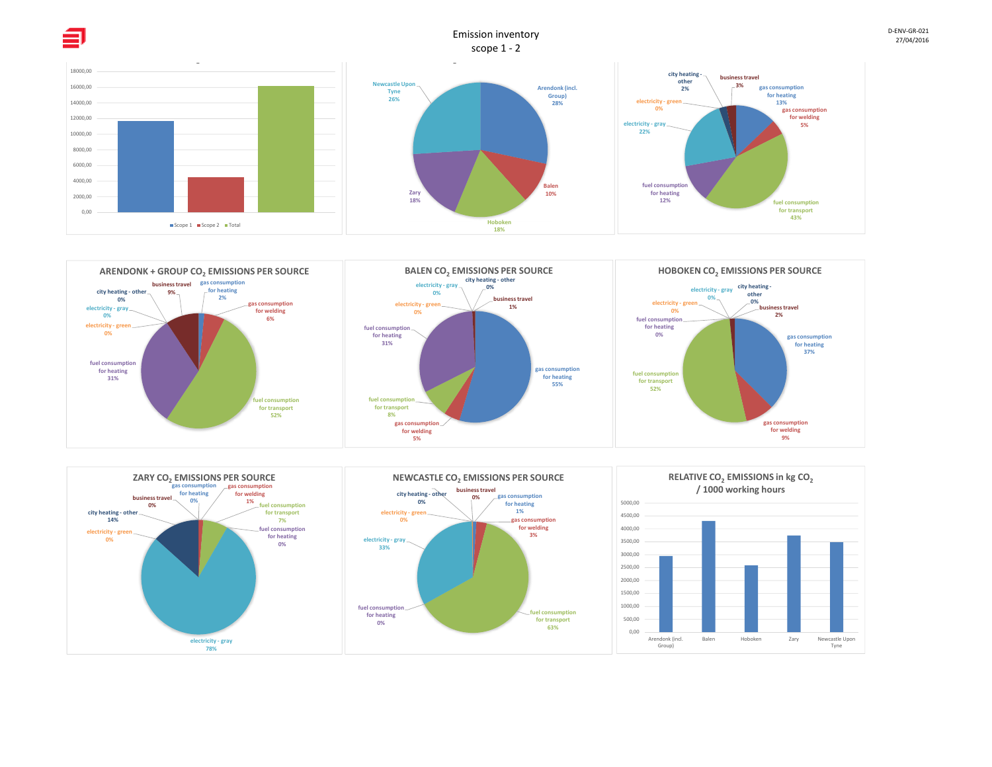

D‐ENV‐GR‐02127/04/2016



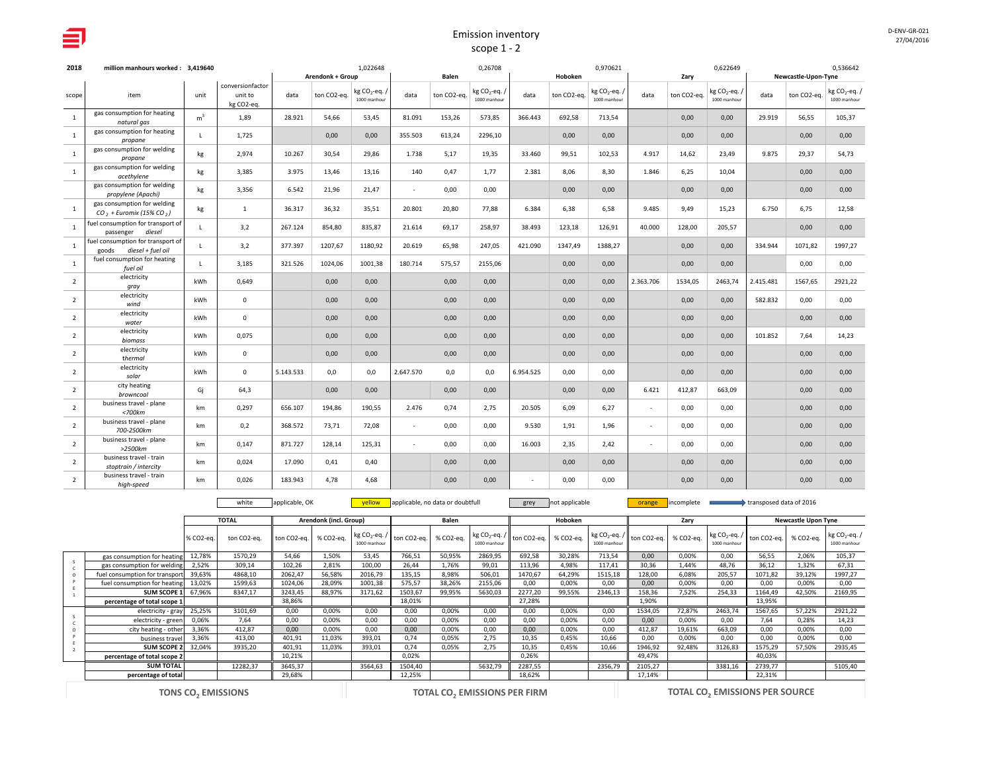| 2018           | million manhours worked: 3.419640                            |                |                                           |           | 1.022648         |                                         |           |             | 0,26708                                 |           |             | 0.970621                                |           |             | 0,622649                                |           |                     | 0,536642                         |
|----------------|--------------------------------------------------------------|----------------|-------------------------------------------|-----------|------------------|-----------------------------------------|-----------|-------------|-----------------------------------------|-----------|-------------|-----------------------------------------|-----------|-------------|-----------------------------------------|-----------|---------------------|----------------------------------|
|                |                                                              |                |                                           |           | Arendonk + Group |                                         |           | Balen       |                                         |           | Hoboken     |                                         |           | Zary        |                                         |           | Newcastle-Upon-Tyne |                                  |
| scope          | item                                                         | unit           | conversionfactor<br>unit to<br>kg CO2-eq. | data      | ton CO2-eq.      | kg CO <sub>2</sub> -eq.<br>1000 manhour | data      | ton CO2-eq. | kg CO <sub>2</sub> -eq.<br>1000 manhour | data      | ton CO2-eq. | kg CO <sub>2</sub> -eq.<br>1000 manhour | data      | ton CO2-eq. | kg CO <sub>2</sub> -eq.<br>1000 manhour | data      | ton CO2-eq.         | kg $CO_2$ -eq. /<br>1000 manhour |
| <sup>1</sup>   | gas consumption for heating<br>natural gas                   | m <sup>3</sup> | 1,89                                      | 28.921    | 54,66            | 53,45                                   | 81.091    | 153,26      | 573,85                                  | 366.443   | 692,58      | 713,54                                  |           | 0,00        | 0,00                                    | 29.919    | 56,55               | 105,37                           |
| $\mathbf{1}$   | gas consumption for heating<br>propane                       | $\mathsf{L}$   | 1,725                                     |           | 0,00             | 0,00                                    | 355.503   | 613,24      | 2296,10                                 |           | 0,00        | 0,00                                    |           | 0,00        | 0,00                                    |           | 0,00                | 0,00                             |
| $\mathbf{1}$   | gas consumption for welding<br>propane                       | kg             | 2,974                                     | 10.267    | 30,54            | 29,86                                   | 1.738     | 5,17        | 19,35                                   | 33.460    | 99,51       | 102,53                                  | 4.917     | 14,62       | 23,49                                   | 9.875     | 29,37               | 54,73                            |
| 1              | gas consumption for welding<br>acethylene                    | kg             | 3.385                                     | 3.975     | 13,46            | 13.16                                   | 140       | 0,47        | 1,77                                    | 2.381     | 8.06        | 8.30                                    | 1.846     | 6,25        | 10,04                                   |           | 0,00                | 0,00                             |
|                | gas consumption for welding<br>propylene (Apachi)            | kg             | 3,356                                     | 6.542     | 21,96            | 21,47                                   | $\sim$    | 0,00        | 0,00                                    |           | 0,00        | 0,00                                    |           | 0,00        | 0,00                                    |           | 0,00                | 0,00                             |
| 1              | gas consumption for welding<br>$CO$ , + Euromix (15% CO,)    | kg             | <sup>1</sup>                              | 36.317    | 36,32            | 35,51                                   | 20.801    | 20,80       | 77,88                                   | 6.384     | 6,38        | 6,58                                    | 9.485     | 9,49        | 15,23                                   | 6.750     | 6,75                | 12,58                            |
| $\mathbf{1}$   | fuel consumption for transport of<br>passenger diesel        | $\mathbf{L}$   | 3,2                                       | 267.124   | 854,80           | 835,87                                  | 21.614    | 69,17       | 258,97                                  | 38.493    | 123,18      | 126,91                                  | 40.000    | 128,00      | 205,57                                  |           | 0,00                | 0,00                             |
| <sup>1</sup>   | fuel consumption for transport of<br>goods diesel + fuel oil | $\mathsf{L}$   | 3,2                                       | 377.397   | 1207,67          | 1180,92                                 | 20.619    | 65,98       | 247,05                                  | 421.090   | 1347,49     | 1388,27                                 |           | 0,00        | 0,00                                    | 334.944   | 1071,82             | 1997,27                          |
| $\mathbf{1}$   | fuel consumption for heating<br>fuel oil                     | $\mathsf{L}$   | 3,185                                     | 321.526   | 1024,06          | 1001,38                                 | 180.714   | 575,57      | 2155,06                                 |           | 0,00        | 0,00                                    |           | 0,00        | 0,00                                    |           | 0,00                | 0,00                             |
| $\overline{2}$ | electricity<br>gray                                          | <b>kWh</b>     | 0,649                                     |           | 0,00             | 0,00                                    |           | 0,00        | 0,00                                    |           | 0,00        | 0,00                                    | 2.363.706 | 1534,05     | 2463,74                                 | 2.415.481 | 1567,65             | 2921,22                          |
| $\overline{2}$ | electricity<br>wind                                          | <b>kWh</b>     | $\mathbf{0}$                              |           | 0,00             | 0,00                                    |           | 0,00        | 0,00                                    |           | 0,00        | 0,00                                    |           | 0,00        | 0,00                                    | 582.832   | 0,00                | 0,00                             |
| $\overline{2}$ | electricity<br>water                                         | <b>kWh</b>     | $\mathbf 0$                               |           | 0,00             | 0,00                                    |           | 0,00        | 0,00                                    |           | 0,00        | 0,00                                    |           | 0,00        | 0,00                                    |           | 0,00                | 0,00                             |
| $\overline{2}$ | electricity<br>biomass                                       | <b>kWh</b>     | 0.075                                     |           | 0.00             | 0.00                                    |           | 0,00        | 0,00                                    |           | 0,00        | 0,00                                    |           | 0,00        | 0,00                                    | 101.852   | 7.64                | 14,23                            |
| $\overline{2}$ | electricity<br>thermal                                       | kWh            | $\mathbf 0$                               |           | 0,00             | 0,00                                    |           | 0,00        | 0,00                                    |           | 0,00        | 0,00                                    |           | 0,00        | 0,00                                    |           | 0,00                | 0,00                             |
| $\overline{2}$ | electricity<br>solar                                         | kWh            | $\mathbf{0}$                              | 5.143.533 | 0,0              | 0,0                                     | 2.647.570 | 0,0         | 0,0                                     | 6.954.525 | 0.00        | 0,00                                    |           | 0,00        | 0,00                                    |           | 0,00                | 0,00                             |
| $\overline{2}$ | city heating<br>browncoal                                    | Gj             | 64,3                                      |           | 0.00             | 0,00                                    |           | 0,00        | 0,00                                    |           | 0.00        | 0,00                                    | 6.421     | 412,87      | 663,09                                  |           | 0,00                | 0,00                             |
| $\overline{2}$ | business travel - plane<br>$<$ 700 $km$                      | km             | 0,297                                     | 656.107   | 194,86           | 190,55                                  | 2.476     | 0,74        | 2,75                                    | 20.505    | 6,09        | 6,27                                    | $\sim$    | 0,00        | 0,00                                    |           | 0,00                | 0,00                             |
| $\overline{2}$ | business travel - plane<br>700-2500km                        | km             | 0,2                                       | 368.572   | 73,71            | 72,08                                   | $\sim$    | 0,00        | 0,00                                    | 9.530     | 1,91        | 1,96                                    | $\sim$    | 0,00        | 0,00                                    |           | 0,00                | 0,00                             |
| $\overline{2}$ | business travel - plane<br>>2500km                           | km             | 0,147                                     | 871.727   | 128,14           | 125,31                                  | $\sim$    | 0,00        | 0,00                                    | 16.003    | 2,35        | 2,42                                    | $\sim$    | 0,00        | 0,00                                    |           | 0,00                | 0,00                             |
| $\overline{2}$ | business travel - train<br>stoptrain / intercity             | km             | 0,024                                     | 17.090    | 0,41             | 0,40                                    |           | 0,00        | 0,00                                    |           | 0,00        | 0,00                                    |           | 0,00        | 0,00                                    |           | 0,00                | 0,00                             |
| $\overline{2}$ | business travel - train<br>high-speed                        | km             | 0,026                                     | 183.943   | 4,78             | 4,68                                    |           | 0,00        | 0,00                                    | ٠         | 0,00        | 0,00                                    |           | 0,00        | 0,00                                    |           | 0,00                | 0,00                             |

white applicable, OK <mark>yellow applicable, no data or doubtfull grey not applicable orange incomplete transposed data of 2016</mark>

|                                |           | <b>TOTAL</b> |             | Arendonk (incl. Group) |                                  |             | Balen     |              |                                                                        | Hoboken |                                                                            |         | Zarv      |              |                                                                        | Newcastle Upon Tyne |                              |
|--------------------------------|-----------|--------------|-------------|------------------------|----------------------------------|-------------|-----------|--------------|------------------------------------------------------------------------|---------|----------------------------------------------------------------------------|---------|-----------|--------------|------------------------------------------------------------------------|---------------------|------------------------------|
|                                | % CO2-ea. | ton CO2-ea.  | ton CO2-ea. | % CO2-ea.              | kg $CO_2$ -eq. /<br>1000 manhour | ton CO2-ea. | % CO2-ea. | 1000 manhour | $\left\  \text{kg CO}_2\text{-eq.} / \right\ $ ton CO2-eq.   % CO2-eq. |         | $\left[\text{kg CO}_{2} \text{-eq.} / \right]$ ton CO2-eq.<br>1000 manhour |         | % CO2-ea. | 1000 manhour | $\left\  \text{kg CO}_2\text{-eq.} / \right\ $ ton CO2-eq.   % CO2-eq. |                     | $kg CO2-eq.$<br>1000 manhour |
| gas consumption for heating    | 12,78%    | 1570.29      | 54.66       | 1.50%                  | 53.45                            | 766,51      | 50,95%    | 2869,95      | 692,58                                                                 | 30,28%  | 713,54                                                                     | 0.00    | 0.00%     | 0.00         | 56.55                                                                  | 2.06%               | 105,37                       |
| gas consumption for welding    | 2,52%     | 309,14       | 102,26      | 2.81%                  | 100.00                           | 26.44       | 1.76%     | 99.01        | 113,96                                                                 | 4,98%   | 117.41                                                                     | 30,36   | 1.44%     | 48,76        | 36.12                                                                  | 1.32%               | 67,31                        |
| fuel consumption for transport | 39,63%    | 4868,10      | 2062,47     | 56,58%                 | 2016,79                          | 135,15      | 8,98%     | 506,01       | 1470,67                                                                | 64,29%  | 1515,18                                                                    | 128,00  | 6,08%     | 205,57       | 1071,82                                                                | 39,12%              | 1997,27                      |
| fuel consumption for heating   | 13,02%    | 1599,63      | 1024,06     | 28,09%                 | 1001,38                          | 575,57      | 38,26%    | 2155,06      | 0.00                                                                   | 0,00%   | 0.00                                                                       | 0,00    | 0,00%     | 0,00         | 0,00                                                                   | 0.00%               | 0,00                         |
| SUM SCOPE 1                    | 67,96%    | 8347,17      | 3243,45     | 88,97%                 | 3171,62                          | 1503,67     | 99,95%    | 5630,03      | 2277,20                                                                | 99,55%  | 2346,13                                                                    | 158,36  | 7,52%     | 254,33       | 1164,49                                                                | 42,50%              | 2169,95                      |
| percentage of total scope 1    |           |              | 38,86%      |                        |                                  | 18,01%      |           |              | 27,28%                                                                 |         |                                                                            | 1,90%   |           |              | 13,95%                                                                 |                     |                              |
| electricity - gray             | 25,25%    | 3101,69      | 0,00        | 0,00%                  | 0,00                             | 0,00        | 0,00%     | 0.00         | 0.00                                                                   | 0,00%   | 0.00                                                                       | 1534,05 | 72,87%    | 2463,74      | 1567,65                                                                | 57,22%              | 2921,22                      |
| electricity - green            | 0,06%     | 7,64         | 0,00        | 0,00%                  | 0,00                             | 0,00        | 0,00%     | 0.00         | 0.00                                                                   | 0,00%   | 0,00                                                                       | 0,00    | 0,00%     | 0,00         | 7.64                                                                   | 0.28%               | 14,23                        |
| city heating - other           | 3,36%     | 412,87       | 0,00        | 0,00%                  | 0,00                             | 0,00        | 0,00%     | 0.00         | 0.00                                                                   | 0,00%   | 0,00                                                                       | 412,87  | 19,61%    | 663,09       | 0,00                                                                   | 0.00%               | 0,00                         |
| business travel                | 3.36%     | 413,00       | 401,91      | 11,03%                 | 393,01                           | 0.74        | 0,05%     | 2,75         | 10.35                                                                  | 0.45%   | 10.66                                                                      | 0.00    | 0,00%     | 0,00         | 0.00                                                                   | 0.00%               | 0.00                         |
| SUM SCOPE 2                    | 32,04%    | 3935,20      | 401,91      | 11,03%                 | 393,01                           | 0,74        | 0,05%     | 2,75         | 10,35                                                                  | 0,45%   | 10.66                                                                      | 1946,92 | 92,48%    | 3126,83      | 1575,29                                                                | 57,50%              | 2935,45                      |
| percentage of total scope 2    |           |              | 10,21%      |                        |                                  | 0,02%       |           |              | 0,26%                                                                  |         |                                                                            | 49,47%  |           |              | 40,03%                                                                 |                     |                              |
| <b>SUM TOTAL</b>               |           | 12282,37     | 3645,37     |                        | 3564,63                          | 1504,40     |           | 5632,79      | 2287,55                                                                |         | 2356,79                                                                    | 2105,27 |           | 3381,16      | 2739,77                                                                |                     | 5105,40                      |
| percentage of total            |           |              | 29,68%      |                        |                                  | 12,25%      |           |              | 18,62%                                                                 |         |                                                                            | 17,14%  |           |              | 22,31%                                                                 |                     |                              |
|                                |           |              |             |                        |                                  |             |           |              |                                                                        |         |                                                                            |         |           |              |                                                                        |                     |                              |

27/04/2016

D-ENV-GR-021

**TONS CO<sub>2</sub> EMISSIONS** 

**EMISSIONS PER FIRM TOTAL CO<sub>2</sub> <b>EMISSIONS** PER SOURCE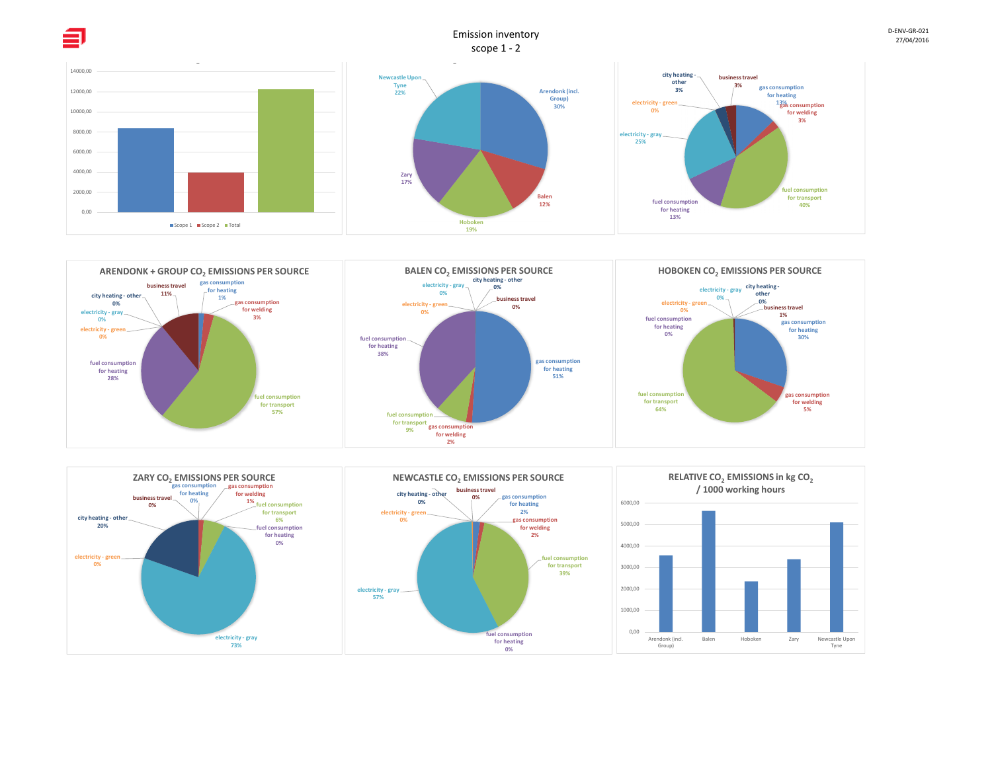

27/04/2016



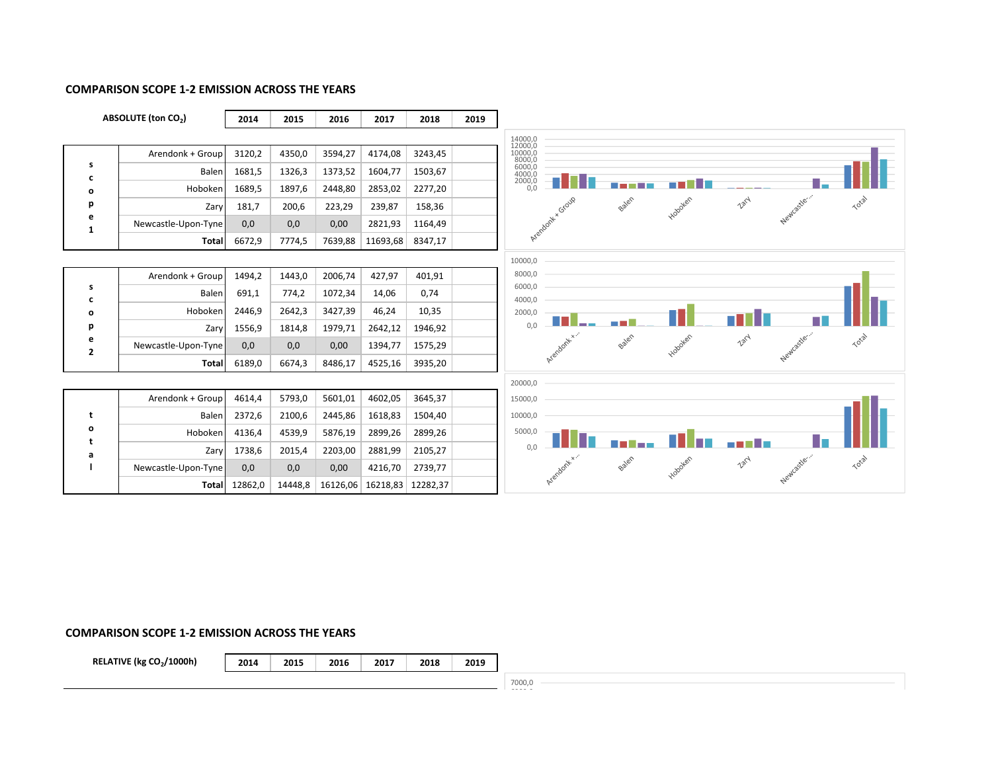#### **COMPARISON SCOPE 1‐2 EMISSION ACROSS THE YEARS**



#### **COMPARISON SCOPE 1‐2 EMISSION ACROSS THE YEARS**

**RELATIVE (kg CO<sub>2</sub>/1000h)** 

**2014 2015 2016 2017 2018 2019**

7000,0